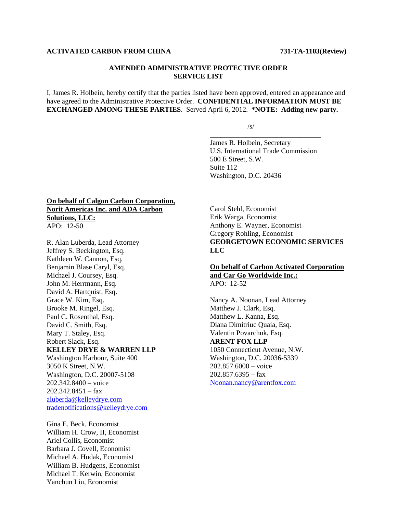#### **ACTIVATED CARBON FROM CHINA 731-TA-1103(Review)**

## **AMENDED ADMINISTRATIVE PROTECTIVE ORDER SERVICE LIST**

I, James R. Holbein, hereby certify that the parties listed have been approved, entered an appearance and have agreed to the Administrative Protective Order. **CONFIDENTIAL INFORMATION MUST BE EXCHANGED AMONG THESE PARTIES**. Served April 6, 2012. **\*NOTE: Adding new party.** 

 $\overline{\phantom{a}}$  , and the contract of the contract of the contract of the contract of the contract of the contract of the contract of the contract of the contract of the contract of the contract of the contract of the contrac

 $\sqrt{s}$ /s/

James R. Holbein, Secretary U.S. International Trade Commission 500 E Street, S.W. Suite 112 Washington, D.C. 20436

## **On behalf of Calgon Carbon Corporation, Norit Americas Inc. and ADA Carbon Solutions, LLC:** APO: 12-50

R. Alan Luberda, Lead Attorney Jeffrey S. Beckington, Esq. Kathleen W. Cannon, Esq. Benjamin Blase Caryl, Esq. Michael J. Coursey, Esq. John M. Herrmann, Esq. David A. Hartquist, Esq. Grace W. Kim, Esq. Brooke M. Ringel, Esq. Paul C. Rosenthal, Esq. David C. Smith, Esq. Mary T. Staley, Esq. Robert Slack, Esq. **KELLEY DRYE & WARREN LLP** Washington Harbour, Suite 400 3050 K Street, N.W. Washington, D.C. 20007-5108 202.342.8400 – voice 202.342.8451 – fax aluberda@kelleydrye.com tradenotifications@kelleydrye.com

Gina E. Beck, Economist William H. Crow, II, Economist Ariel Collis, Economist Barbara J. Covell, Economist Michael A. Hudak, Economist William B. Hudgens, Economist Michael T. Kerwin, Economist Yanchun Liu, Economist

Carol Stehl, Economist Erik Warga, Economist Anthony E. Wayner, Economist Gregory Rohling, Economist **GEORGETOWN ECONOMIC SERVICES LLC** 

## **On behalf of Carbon Activated Corporation and Car Go Worldwide Inc.:**  $APO: 12-52$

Nancy A. Noonan, Lead Attorney Matthew J. Clark, Esq. Matthew L. Kanna, Esq. Diana Dimitriuc Quaia, Esq. Valentin Povarchuk, Esq. **ARENT FOX LLP** 1050 Connecticut Avenue, N.W. Washington, D.C. 20036-5339 202.857.6000 – voice 202.857.6395 – fax Noonan.nancy@arentfox.com